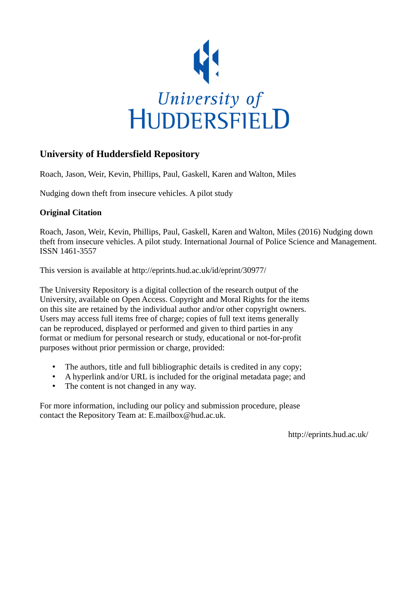

# **University of Huddersfield Repository**

Roach, Jason, Weir, Kevin, Phillips, Paul, Gaskell, Karen and Walton, Miles

Nudging down theft from insecure vehicles. A pilot study

# **Original Citation**

Roach, Jason, Weir, Kevin, Phillips, Paul, Gaskell, Karen and Walton, Miles (2016) Nudging down theft from insecure vehicles. A pilot study. International Journal of Police Science and Management. ISSN 1461-3557

This version is available at http://eprints.hud.ac.uk/id/eprint/30977/

The University Repository is a digital collection of the research output of the University, available on Open Access. Copyright and Moral Rights for the items on this site are retained by the individual author and/or other copyright owners. Users may access full items free of charge; copies of full text items generally can be reproduced, displayed or performed and given to third parties in any format or medium for personal research or study, educational or not-for-profit purposes without prior permission or charge, provided:

- The authors, title and full bibliographic details is credited in any copy;
- A hyperlink and/or URL is included for the original metadata page; and
- The content is not changed in any way.

For more information, including our policy and submission procedure, please contact the Repository Team at: E.mailbox@hud.ac.uk.

http://eprints.hud.ac.uk/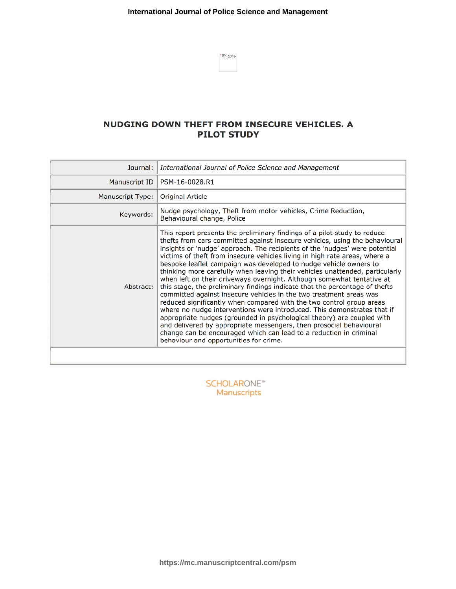$\left|\frac{1}{10}\frac{225}{10}\frac{1}{10}\frac{1}{10}\frac{1}{10}\frac{1}{10}\right|$ 

# NUDGING DOWN THEFT FROM INSECURE VEHICLES. A **PILOT STUDY**

| Journal:                                 | International Journal of Police Science and Management                                                                                                                                                                                                                                                                                                                                                                                                                                                                                                                                                                                                                                                                                                                                                                                                                                                                                                                                                                                                                                                                       |  |  |
|------------------------------------------|------------------------------------------------------------------------------------------------------------------------------------------------------------------------------------------------------------------------------------------------------------------------------------------------------------------------------------------------------------------------------------------------------------------------------------------------------------------------------------------------------------------------------------------------------------------------------------------------------------------------------------------------------------------------------------------------------------------------------------------------------------------------------------------------------------------------------------------------------------------------------------------------------------------------------------------------------------------------------------------------------------------------------------------------------------------------------------------------------------------------------|--|--|
| Manuscript ID                            | PSM-16-0028.R1                                                                                                                                                                                                                                                                                                                                                                                                                                                                                                                                                                                                                                                                                                                                                                                                                                                                                                                                                                                                                                                                                                               |  |  |
| Manuscript Type:                         | Original Article                                                                                                                                                                                                                                                                                                                                                                                                                                                                                                                                                                                                                                                                                                                                                                                                                                                                                                                                                                                                                                                                                                             |  |  |
| Keywords:                                | Nudge psychology, Theft from motor vehicles, Crime Reduction,<br>Behavioural change, Police                                                                                                                                                                                                                                                                                                                                                                                                                                                                                                                                                                                                                                                                                                                                                                                                                                                                                                                                                                                                                                  |  |  |
| Abstract:                                | This report presents the preliminary findings of a pilot study to reduce<br>thefts from cars committed against insecure vehicles, using the behavioural<br>insights or 'nudge' approach. The recipients of the 'nudges' were potential<br>victims of theft from insecure vehicles living in high rate areas, where a<br>bespoke leaflet campaign was developed to nudge vehicle owners to<br>thinking more carefully when leaving their vehicles unattended, particularly<br>when left on their driveways overnight. Although somewhat tentative at<br>this stage, the preliminary findings indicate that the percentage of thefts<br>committed against insecure vehicles in the two treatment areas was<br>reduced significantly when compared with the two control group areas<br>where no nudge interventions were introduced. This demonstrates that if<br>appropriate nudges (grounded in psychological theory) are coupled with<br>and delivered by appropriate messengers, then prosocial behavioural<br>change can be encouraged which can lead to a reduction in criminal<br>behaviour and opportunities for crime. |  |  |
|                                          |                                                                                                                                                                                                                                                                                                                                                                                                                                                                                                                                                                                                                                                                                                                                                                                                                                                                                                                                                                                                                                                                                                                              |  |  |
| <b>SCHOLARONE™</b><br><b>Manuscripts</b> |                                                                                                                                                                                                                                                                                                                                                                                                                                                                                                                                                                                                                                                                                                                                                                                                                                                                                                                                                                                                                                                                                                                              |  |  |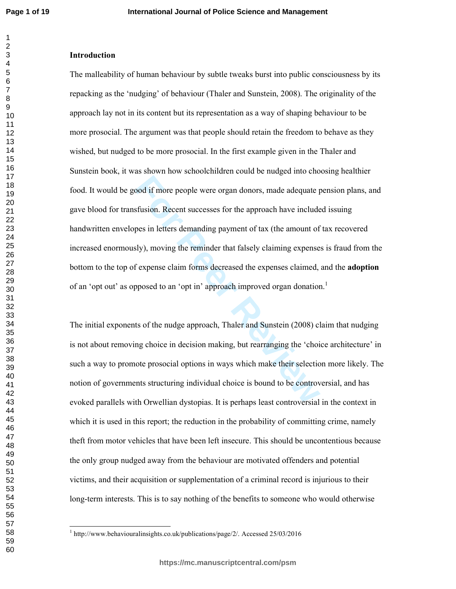#### **Introduction**

**Followian** Theorem everyonder and a more in the set of the set of the set of the set of the set of the set of the set of the set of sly), moving the reminder that falsely claiming expense f expense claim forms decreased t The malleability of human behaviour by subtle tweaks burst into public consciousness by its repacking as the 'nudging' of behaviour (Thaler and Sunstein, 2008). The originality of the approach lay not in its content but its representation as a way of shaping behaviour to be more prosocial. The argument was that people should retain the freedom to behave as they wished, but nudged to be more prosocial. In the first example given in the Thaler and Sunstein book, it was shown how schoolchildren could be nudged into choosing healthier food. It would be good if more people were organ donors, made adequate pension plans, and gave blood for transfusion. Recent successes for the approach have included issuing handwritten envelopes in letters demanding payment of tax (the amount of tax recovered increased enormously), moving the reminder that falsely claiming expenses is fraud from the bottom to the top of expense claim forms decreased the expenses claimed, and the **adoption** of an 'opt out' as opposed to an 'opt in' approach improved organ donation.<sup>1</sup>

The initial exponents of the nudge approach, Thaler and Sunstein (2008) claim that nudging is not about removing choice in decision making, but rearranging the 'choice architecture' in such a way to promote prosocial options in ways which make their selection more likely. The notion of governments structuring individual choice is bound to be controversial, and has evoked parallels with Orwellian dystopias. It is perhaps least controversial in the context in which it is used in this report; the reduction in the probability of committing crime, namely theft from motor vehicles that have been left insecure. This should be uncontentious because the only group nudged away from the behaviour are motivated offenders and potential victims, and their acquisition or supplementation of a criminal record is injurious to their long-term interests. This is to say nothing of the benefits to someone who would otherwise

<sup>&</sup>lt;sup>1</sup> http://www.behaviouralinsights.co.uk/publications/page/2/. Accessed 25/03/2016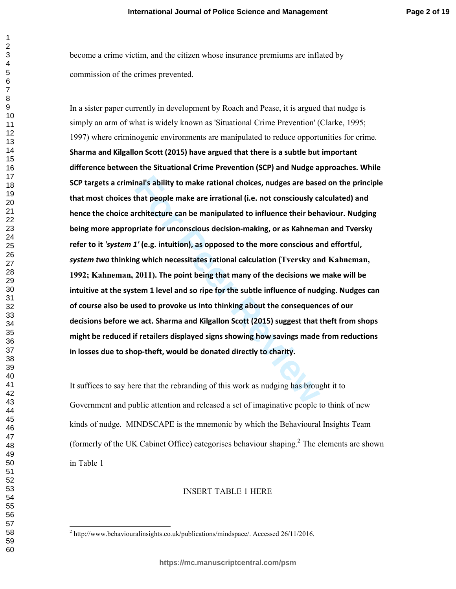become a crime victim, and the citizen whose insurance premiums are inflated by commission of the crimes prevented.

mal's ability to make rational choices, nudges are base<br>that people make are irrational (i.e. not consciously can<br>triate for unconscious decision-making, or as Kahnem:<br> $T'$  (e.g. intuition), as opposed to the more consciou In a sister paper currently in development by Roach and Pease, it is argued that nudge is simply an arm of what is widely known as 'Situational Crime Prevention' (Clarke, 1995; 1997) where criminogenic environments are manipulated to reduce opportunities for crime. **Sharma and Kilgallon Scott (2015) have argued that there is a subtle but important difference between the Situational Crime Prevention (SCP) and Nudge approaches. While SCP targets a criminal's ability to make rational choices, nudges are based on the principle that most choices that people make are irrational (i.e. not consciously calculated) and hence the choice architecture can be manipulated to influence their behaviour. Nudging being more appropriate for unconscious decision-making, or as Kahneman and Tversky refer to it** *'system 1'* **(e.g. intuition), as opposed to the more conscious and effortful,**  *system two* **thinking which necessitates rational calculation (Tversky and Kahneman, 1992; Kahneman, 2011). The point being that many of the decisions we make will be intuitive at the system 1 level and so ripe for the subtle influence of nudging. Nudges can of course also be used to provoke us into thinking about the consequences of our decisions before we act. Sharma and Kilgallon Scott (2015) suggest that theft from shops might be reduced if retailers displayed signs showing how savings made from reductions in losses due to shop-theft, would be donated directly to charity.** 

It suffices to say here that the rebranding of this work as nudging has brought it to Government and public attention and released a set of imaginative people to think of new kinds of nudge. MINDSCAPE is the mnemonic by which the Behavioural Insights Team (formerly of the UK Cabinet Office) categorises behaviour shaping. 2 The elements are shown in Table 1

# INSERT TABLE 1 HERE

http://www.behaviouralinsights.co.uk/publications/mindspace/. Accessed 26/11/2016.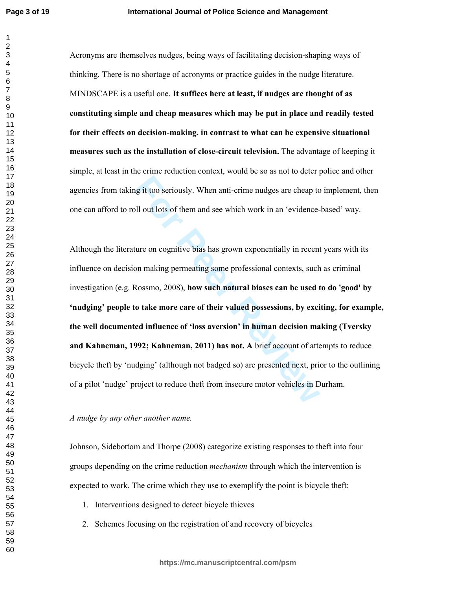$\mathbf{1}$ 

Acronyms are themselves nudges, being ways of facilitating decision-shaping ways of thinking. There is no shortage of acronyms or practice guides in the nudge literature. MINDSCAPE is a useful one. **It suffices here at least, if nudges are thought of as constituting simple and cheap measures which may be put in place and readily tested for their effects on decision-making, in contrast to what can be expensive situational measures such as the installation of close-circuit television.** The advantage of keeping it simple, at least in the crime reduction context, would be so as not to deter police and other agencies from taking it too seriously. When anti-crime nudges are cheap to implement, then one can afford to roll out lots of them and see which work in an 'evidence-based' way.

Example 18 it too seriously. When anti-crime nudges are cheap to<br>
Ill out lots of them and see which work in an 'evidence-<br>
ture on cognitive bias has grown exponentially in recent<br>
on making permeating some professional c Although the literature on cognitive bias has grown exponentially in recent years with its influence on decision making permeating some professional contexts, such as criminal investigation (e.g. Rossmo, 2008), **how such natural biases can be used to do 'good' by 'nudging' people to take more care of their valued possessions, by exciting, for example, the well documented influence of 'loss aversion' in human decision making (Tversky and Kahneman, 1992; Kahneman, 2011) has not. A** brief account of attempts to reduce bicycle theft by 'nudging' (although not badged so) are presented next, prior to the outlining of a pilot 'nudge' project to reduce theft from insecure motor vehicles in Durham.

*A nudge by any other another name.* 

Johnson, Sidebottom and Thorpe (2008) categorize existing responses to theft into four groups depending on the crime reduction *mechanism* through which the intervention is expected to work. The crime which they use to exemplify the point is bicycle theft:

- 1. Interventions designed to detect bicycle thieves
- 2. Schemes focusing on the registration of and recovery of bicycles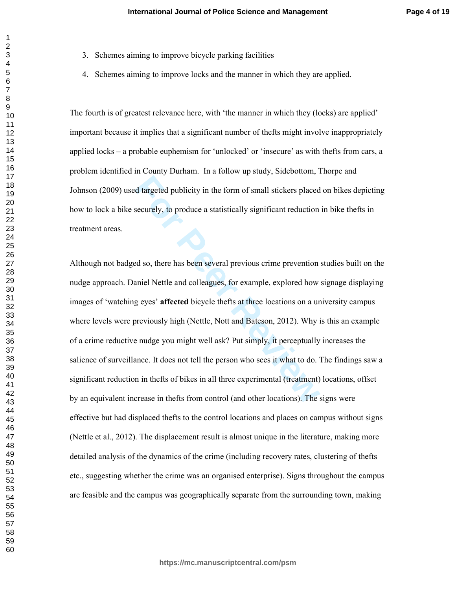- 3. Schemes aiming to improve bicycle parking facilities
- 4. Schemes aiming to improve locks and the manner in which they are applied.

The fourth is of greatest relevance here, with 'the manner in which they (locks) are applied' important because it implies that a significant number of thefts might involve inappropriately applied locks – a probable euphemism for 'unlocked' or 'insecure' as with thefts from cars, a problem identified in County Durham. In a follow up study, Sidebottom, Thorpe and Johnson (2009) used targeted publicity in the form of small stickers placed on bikes depicting how to lock a bike securely, to produce a statistically significant reduction in bike thefts in treatment areas.

d targeted publicity in the form of small stickers placed<br>securely, to produce a statistically significant reduction<br>aniel Nettle and colleagues, for example, explored how<br>g eyes' affected bicycle thefts at three locations Although not badged so, there has been several previous crime prevention studies built on the nudge approach. Daniel Nettle and colleagues, for example, explored how signage displaying images of 'watching eyes' **affected** bicycle thefts at three locations on a university campus where levels were previously high (Nettle, Nott and Bateson, 2012). Why is this an example of a crime reductive nudge you might well ask? Put simply, it perceptually increases the salience of surveillance. It does not tell the person who sees it what to do. The findings saw a significant reduction in thefts of bikes in all three experimental (treatment) locations, offset by an equivalent increase in thefts from control (and other locations). The signs were effective but had displaced thefts to the control locations and places on campus without signs (Nettle et al., 2012). The displacement result is almost unique in the literature, making more detailed analysis of the dynamics of the crime (including recovery rates, clustering of thefts etc., suggesting whether the crime was an organised enterprise). Signs throughout the campus are feasible and the campus was geographically separate from the surrounding town, making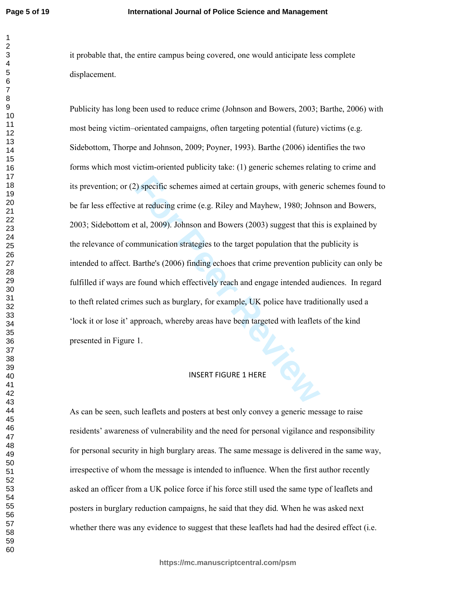$\mathbf{1}$ 

it probable that, the entire campus being covered, one would anticipate less complete displacement.

Propertief schemes aimed at certain groups, with generiated at reducing crime (e.g. Riley and Mayhew, 1980; John at al, 2009). Johnson and Bowers (2003) suggest that this mmunication strategies to the target population tha Publicity has long been used to reduce crime (Johnson and Bowers, 2003; Barthe, 2006) with most being victim–orientated campaigns, often targeting potential (future) victims (e.g. Sidebottom, Thorpe and Johnson, 2009; Poyner, 1993). Barthe (2006) identifies the two forms which most victim-oriented publicity take: (1) generic schemes relating to crime and its prevention; or (2) specific schemes aimed at certain groups, with generic schemes found to be far less effective at reducing crime (e.g. Riley and Mayhew, 1980; Johnson and Bowers, 2003; Sidebottom et al, 2009). Johnson and Bowers (2003) suggest that this is explained by the relevance of communication strategies to the target population that the publicity is intended to affect. Barthe's (2006) finding echoes that crime prevention publicity can only be fulfilled if ways are found which effectively reach and engage intended audiences. In regard to theft related crimes such as burglary, for example, UK police have traditionally used a 'lock it or lose it' approach, whereby areas have been targeted with leaflets of the kind presented in Figure 1.

### INSERT FIGURE 1 HERE

As can be seen, such leaflets and posters at best only convey a generic message to raise residents' awareness of vulnerability and the need for personal vigilance and responsibility for personal security in high burglary areas. The same message is delivered in the same way, irrespective of whom the message is intended to influence. When the first author recently asked an officer from a UK police force if his force still used the same type of leaflets and posters in burglary reduction campaigns, he said that they did. When he was asked next whether there was any evidence to suggest that these leaflets had had the desired effect (i.e.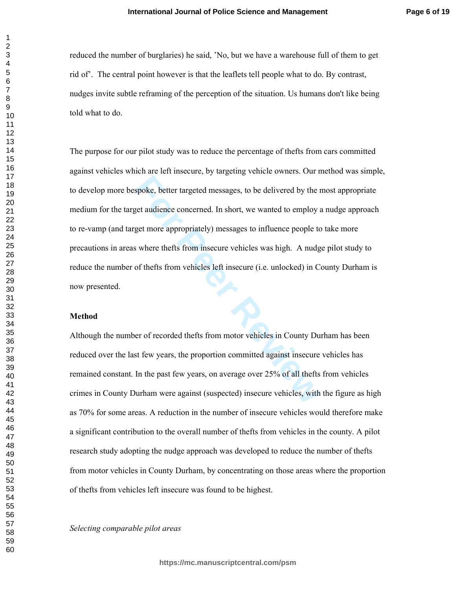reduced the number of burglaries) he said, 'No, but we have a warehouse full of them to get rid of'. The central point however is that the leaflets tell people what to do. By contrast, nudges invite subtle reframing of the perception of the situation. Us humans don't like being told what to do.

spoke, better targeted messages, to be delivered by the read and<br>einvertigated messages, to be delivered to employ and<br>get more appropriately) messages to influence people to<br>s where thefts from insecure vehicles was high. The purpose for our pilot study was to reduce the percentage of thefts from cars committed against vehicles which are left insecure, by targeting vehicle owners. Our method was simple, to develop more bespoke, better targeted messages, to be delivered by the most appropriate medium for the target audience concerned. In short, we wanted to employ a nudge approach to re-vamp (and target more appropriately) messages to influence people to take more precautions in areas where thefts from insecure vehicles was high. A nudge pilot study to reduce the number of thefts from vehicles left insecure (i.e. unlocked) in County Durham is now presented.

### **Method**

Although the number of recorded thefts from motor vehicles in County Durham has been reduced over the last few years, the proportion committed against insecure vehicles has remained constant. In the past few years, on average over 25% of all thefts from vehicles crimes in County Durham were against (suspected) insecure vehicles, with the figure as high as 70% for some areas. A reduction in the number of insecure vehicles would therefore make a significant contribution to the overall number of thefts from vehicles in the county. A pilot research study adopting the nudge approach was developed to reduce the number of thefts from motor vehicles in County Durham, by concentrating on those areas where the proportion of thefts from vehicles left insecure was found to be highest.

*Selecting comparable pilot areas*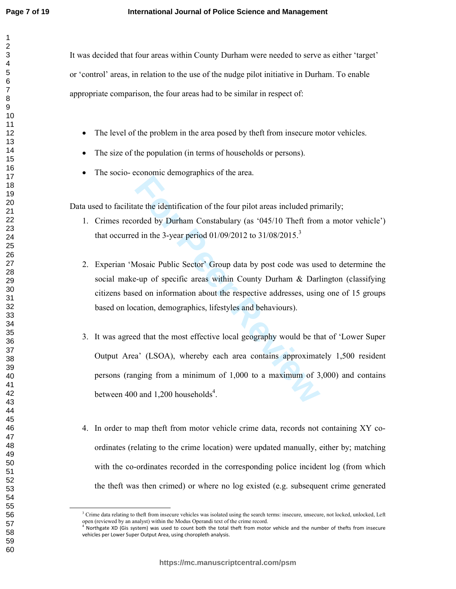It was decided that four areas within County Durham were needed to serve as either 'target' or 'control' areas, in relation to the use of the nudge pilot initiative in Durham. To enable appropriate comparison, the four areas had to be similar in respect of:

- The level of the problem in the area posed by theft from insecure motor vehicles.
- The size of the population (in terms of households or persons).
- The socio- economic demographics of the area.

Data used to facilitate the identification of the four pilot areas included primarily;

- 1. Crimes recorded by Durham Constabulary (as '045/10 Theft from a motor vehicle') that occurred in the 3-year period  $01/09/2012$  to  $31/08/2015$ .<sup>3</sup>
- 2. Experian 'Mosaic Public Sector' Group data by post code was used to determine the social make-up of specific areas within County Durham & Darlington (classifying citizens based on information about the respective addresses, using one of 15 groups based on location, demographics, lifestyles and behaviours).
- **Example 18 and Supplemes of the Columbia State the identification of the four pilot areas included privaled by Durham Constabulary (as '045/10 Theft from d in the 3-year period 01/09/2012 to 31/08/2015.<sup>3</sup><br>
<b>Aosaic Public** 3. It was agreed that the most effective local geography would be that of 'Lower Super Output Area' (LSOA), whereby each area contains approximately 1,500 resident persons (ranging from a minimum of 1,000 to a maximum of 3,000) and contains between 400 and 1,200 households<sup>4</sup>.
- 4. In order to map theft from motor vehicle crime data, records not containing XY coordinates (relating to the crime location) were updated manually, either by; matching with the co-ordinates recorded in the corresponding police incident log (from which the theft was then crimed) or where no log existed (e.g. subsequent crime generated

<sup>&</sup>lt;sup>3</sup> Crime data relating to theft from insecure vehicles was isolated using the search terms: insecure, unsecure, not locked, unlocked, Left open (reviewed by an analyst) within the Modus Operandi text of the crime record.<br><sup>4</sup> Northgate XD (Gis system) was used to count both the total theft from motor vehicle and the number of thefts from insecure

vehicles per Lower Super Output Area, using choropleth analysis.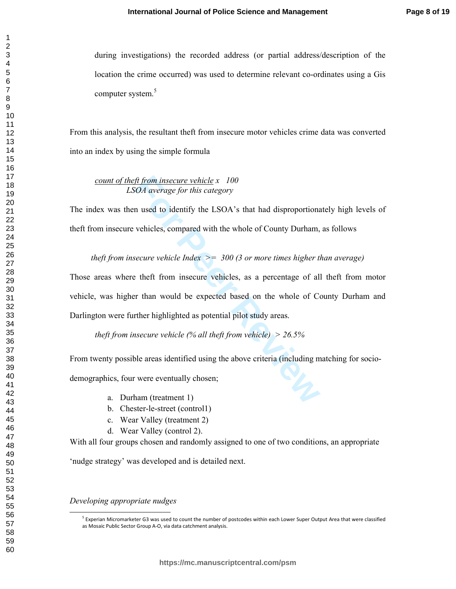during investigations) the recorded address (or partial address/description of the location the crime occurred) was used to determine relevant co-ordinates using a Gis computer system. 5

From this analysis, the resultant theft from insecure motor vehicles crime data was converted into an index by using the simple formula

# *count of theft from insecure vehicle x 100 LSOA average for this category*

The index was then used to identify the LSOA's that had disproportionately high levels of theft from insecure vehicles, compared with the whole of County Durham, as follows

*theft from insecure vehicle Index >= 300 (3 or more times higher than average)* 

ft from insecure vehicle x 100<br>
COA average for this category<br>
n used to identify the LSOA's that had disproportions<br>
vehicles, compared with the whole of County Durham,<br>
vehicles, compared with the whole of County Durham Those areas where theft from insecure vehicles, as a percentage of all theft from motor vehicle, was higher than would be expected based on the whole of County Durham and Darlington were further highlighted as potential pilot study areas.

*theft from insecure vehicle (% all theft from vehicle) > 26.5%* 

From twenty possible areas identified using the above criteria (including matching for socio-

demographics, four were eventually chosen;

a. Durham (treatment 1)

- b. Chester-le-street (control1)
- c. Wear Valley (treatment 2)
- d. Wear Valley (control 2).

With all four groups chosen and randomly assigned to one of two conditions, an appropriate

'nudge strategy' was developed and is detailed next.

*Developing appropriate nudges* 

 $\overline{a}$ 

<sup>&</sup>lt;sup>5</sup> Experian Micromarketer G3 was used to count the number of postcodes within each Lower Super Output Area that were classified as Mosaic Public Sector Group A-O, via data catchment analysis.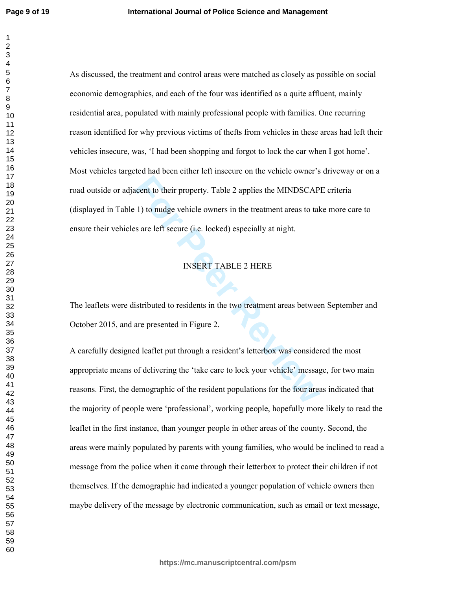$\mathbf{1}$ 

**For Perrond Constant Control Control Constant Conference II to hudge vehicle owners in the treatment areas to take the same left secure (i.e. locked) especially at night.<br>
<b>FOREXT TABLE 2 HERE**<br> **FOREXT TABLE 2 HERE**<br> **FO** As discussed, the treatment and control areas were matched as closely as possible on social economic demographics, and each of the four was identified as a quite affluent, mainly residential area, populated with mainly professional people with families. One recurring reason identified for why previous victims of thefts from vehicles in these areas had left their vehicles insecure, was, 'I had been shopping and forgot to lock the car when I got home'. Most vehicles targeted had been either left insecure on the vehicle owner's driveway or on a road outside or adjacent to their property. Table 2 applies the MINDSCAPE criteria (displayed in Table 1) to nudge vehicle owners in the treatment areas to take more care to ensure their vehicles are left secure (i.e. locked) especially at night.

# INSERT TABLE 2 HERE

The leaflets were distributed to residents in the two treatment areas between September and October 2015, and are presented in Figure 2.

A carefully designed leaflet put through a resident's letterbox was considered the most appropriate means of delivering the 'take care to lock your vehicle' message, for two main reasons. First, the demographic of the resident populations for the four areas indicated that the majority of people were 'professional', working people, hopefully more likely to read the leaflet in the first instance, than younger people in other areas of the county. Second, the areas were mainly populated by parents with young families, who would be inclined to read a message from the police when it came through their letterbox to protect their children if not themselves. If the demographic had indicated a younger population of vehicle owners then maybe delivery of the message by electronic communication, such as email or text message,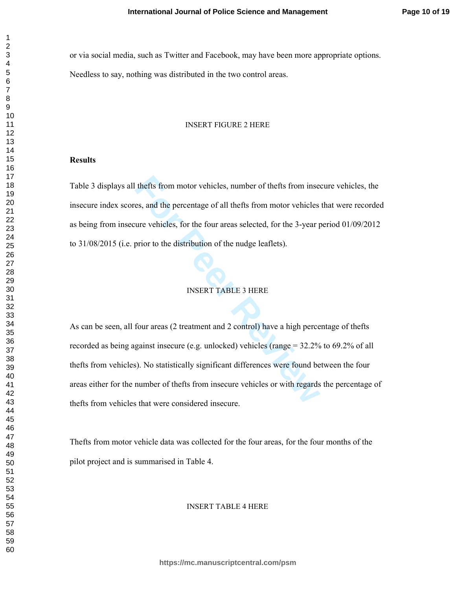or via social media, such as Twitter and Facebook, may have been more appropriate options. Needless to say, nothing was distributed in the two control areas.

#### INSERT FIGURE 2 HERE

### **Results**

Table 3 displays all thefts from motor vehicles, number of thefts from insecure vehicles, the insecure index scores, and the percentage of all thefts from motor vehicles that were recorded as being from insecure vehicles, for the four areas selected, for the 3-year period 01/09/2012 to 31/08/2015 (i.e. prior to the distribution of the nudge leaflets).

# INSERT TABLE 3 HERE

thefts from motor vehicles, number of thefts from inset<br>es, and the percentage of all thefts from motor vehicles<br>ure vehicles, for the four areas selected, for the 3-year p<br>prior to the distribution of the nudge leaflets). As can be seen, all four areas (2 treatment and 2 control) have a high percentage of thefts recorded as being against insecure (e.g. unlocked) vehicles (range = 32.2% to 69.2% of all thefts from vehicles). No statistically significant differences were found between the four areas either for the number of thefts from insecure vehicles or with regards the percentage of thefts from vehicles that were considered insecure.

Thefts from motor vehicle data was collected for the four areas, for the four months of the pilot project and is summarised in Table 4.

#### INSERT TABLE 4 HERE

 $\mathbf{1}$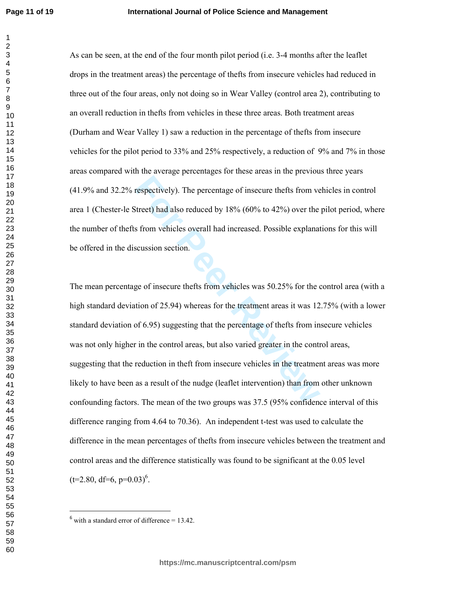$\mathbf{1}$ 

As can be seen, at the end of the four month pilot period (i.e. 3-4 months after the leaflet drops in the treatment areas) the percentage of thefts from insecure vehicles had reduced in three out of the four areas, only not doing so in Wear Valley (control area 2), contributing to an overall reduction in thefts from vehicles in these three areas. Both treatment areas (Durham and Wear Valley 1) saw a reduction in the percentage of thefts from insecure vehicles for the pilot period to 33% and 25% respectively, a reduction of 9% and 7% in those areas compared with the average percentages for these areas in the previous three years (41.9% and 32.2% respectively). The percentage of insecure thefts from vehicles in control area 1 (Chester-le Street) had also reduced by 18% (60% to 42%) over the pilot period, where the number of thefts from vehicles overall had increased. Possible explanations for this will be offered in the discussion section.

Frequencively). The percentage of insecure thefts from ve<br>
Sitreet) had also reduced by 18% (60% to 42%) over the<br>
form vehicles overall had increased. Possible explanat<br>
scussion section.<br>
ge of insecure thefts from vehic The mean percentage of insecure thefts from vehicles was 50.25% for the control area (with a high standard deviation of 25.94) whereas for the treatment areas it was 12.75% (with a lower standard deviation of 6.95) suggesting that the percentage of thefts from insecure vehicles was not only higher in the control areas, but also varied greater in the control areas, suggesting that the reduction in theft from insecure vehicles in the treatment areas was more likely to have been as a result of the nudge (leaflet intervention) than from other unknown confounding factors. The mean of the two groups was 37.5 (95% confidence interval of this difference ranging from 4.64 to 70.36). An independent t-test was used to calculate the difference in the mean percentages of thefts from insecure vehicles between the treatment and control areas and the difference statistically was found to be significant at the 0.05 level  $(t=2.80, df=6, p=0.03)^6$ .

l,

 $<sup>6</sup>$  with a standard error of difference = 13.42.</sup>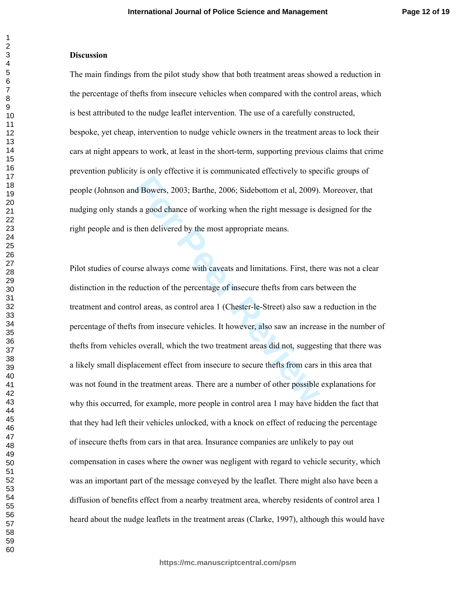#### **Discussion**

The main findings from the pilot study show that both treatment areas showed a reduction in the percentage of thefts from insecure vehicles when compared with the control areas, which is best attributed to the nudge leaflet intervention. The use of a carefully constructed, bespoke, yet cheap, intervention to nudge vehicle owners in the treatment areas to lock their cars at night appears to work, at least in the short-term, supporting previous claims that crime prevention publicity is only effective it is communicated effectively to specific groups of people (Johnson and Bowers, 2003; Barthe, 2006; Sidebottom et al, 2009). Moreover, that nudging only stands a good chance of working when the right message is designed for the right people and is then delivered by the most appropriate means.

**For Peer Review** Pilot studies of course always come with caveats and limitations. First, there was not a clear distinction in the reduction of the percentage of insecure thefts from cars between the treatment and control areas, as control area 1 (Chester-le-Street) also saw a reduction in the percentage of thefts from insecure vehicles. It however, also saw an increase in the number of thefts from vehicles overall, which the two treatment areas did not, suggesting that there was a likely small displacement effect from insecure to secure thefts from cars in this area that was not found in the treatment areas. There are a number of other possible explanations for why this occurred, for example, more people in control area 1 may have hidden the fact that that they had left their vehicles unlocked, with a knock on effect of reducing the percentage of insecure thefts from cars in that area. Insurance companies are unlikely to pay out compensation in cases where the owner was negligent with regard to vehicle security, which was an important part of the message conveyed by the leaflet. There might also have been a diffusion of benefits effect from a nearby treatment area, whereby residents of control area 1 heard about the nudge leaflets in the treatment areas (Clarke, 1997), although this would have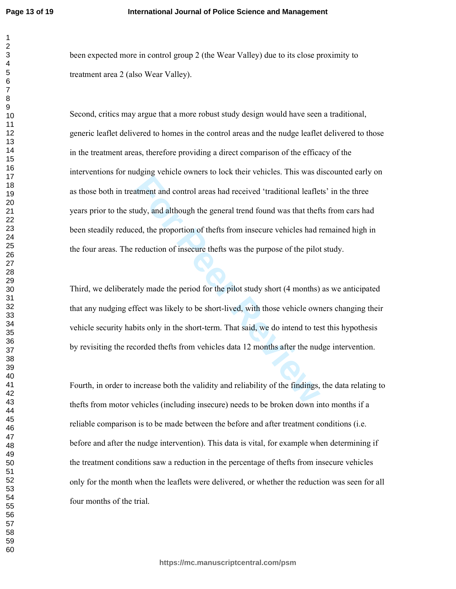been expected more in control group 2 (the Wear Valley) due to its close proximity to treatment area 2 (also Wear Valley).

External and control areas had received 'traditional leafle<br> **External and although the general trend found was that thef**<br> **External although the general trend found was that thef**<br> **For Peer Reviewal and Treduction of in** Second, critics may argue that a more robust study design would have seen a traditional, generic leaflet delivered to homes in the control areas and the nudge leaflet delivered to those in the treatment areas, therefore providing a direct comparison of the efficacy of the interventions for nudging vehicle owners to lock their vehicles. This was discounted early on as those both in treatment and control areas had received 'traditional leaflets' in the three years prior to the study, and although the general trend found was that thefts from cars had been steadily reduced, the proportion of thefts from insecure vehicles had remained high in the four areas. The reduction of insecure thefts was the purpose of the pilot study.

Third, we deliberately made the period for the pilot study short (4 months) as we anticipated that any nudging effect was likely to be short-lived, with those vehicle owners changing their vehicle security habits only in the short-term. That said, we do intend to test this hypothesis by revisiting the recorded thefts from vehicles data 12 months after the nudge intervention.

Fourth, in order to increase both the validity and reliability of the findings, the data relating to thefts from motor vehicles (including insecure) needs to be broken down into months if a reliable comparison is to be made between the before and after treatment conditions (i.e. before and after the nudge intervention). This data is vital, for example when determining if the treatment conditions saw a reduction in the percentage of thefts from insecure vehicles only for the month when the leaflets were delivered, or whether the reduction was seen for all four months of the trial.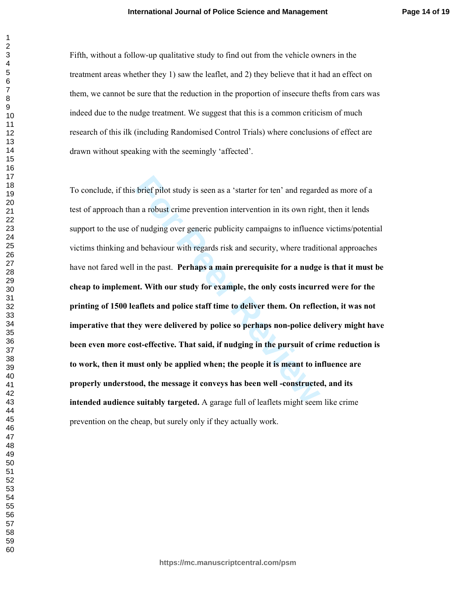Fifth, without a follow-up qualitative study to find out from the vehicle owners in the treatment areas whether they 1) saw the leaflet, and 2) they believe that it had an effect on them, we cannot be sure that the reduction in the proportion of insecure thefts from cars was indeed due to the nudge treatment. We suggest that this is a common criticism of much research of this ilk (including Randomised Control Trials) where conclusions of effect are drawn without speaking with the seemingly 'affected'.

brief pilot study is seen as a 'starter for ten' and regard<br>an a robust crime prevention intervention in its own righ<br>f nudging over generic publicity campaigns to influence<br>d behaviour with regards risk and security, wher To conclude, if this brief pilot study is seen as a 'starter for ten' and regarded as more of a test of approach than a robust crime prevention intervention in its own right, then it lends support to the use of nudging over generic publicity campaigns to influence victims/potential victims thinking and behaviour with regards risk and security, where traditional approaches have not fared well in the past. **Perhaps a main prerequisite for a nudge is that it must be cheap to implement. With our study for example, the only costs incurred were for the printing of 1500 leaflets and police staff time to deliver them. On reflection, it was not imperative that they were delivered by police so perhaps non-police delivery might have been even more cost-effective. That said, if nudging in the pursuit of crime reduction is to work, then it must only be applied when; the people it is meant to influence are properly understood, the message it conveys has been well -constructed, and its intended audience suitably targeted.** A garage full of leaflets might seem like crime prevention on the cheap, but surely only if they actually work.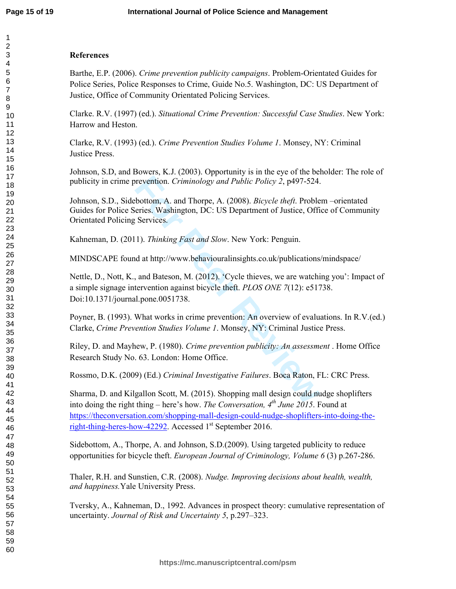# **References**

Barthe, E.P. (2006). *Crime prevention publicity campaigns*. Problem-Orientated Guides for Police Series, Police Responses to Crime, Guide No.5. Washington, DC: US Department of Justice, Office of Community Orientated Policing Services.

Clarke. R.V. (1997) (ed.). *Situational Crime Prevention: Successful Case Studies*. New York: Harrow and Heston.

Clarke, R.V. (1993) (ed.). *Crime Prevention Studies Volume 1*. Monsey, NY: Criminal Justice Press.

Johnson, S.D, and Bowers, K.J. (2003). Opportunity is in the eye of the beholder: The role of publicity in crime prevention. *Criminology and Public Policy 2*, p497-524.

Johnson, S.D., Sidebottom, A. and Thorpe, A. (2008). *Bicycle theft*. Problem –orientated Guides for Police Series. Washington, DC: US Department of Justice, Office of Community Orientated Policing Services.

Kahneman, D. (2011). *Thinking Fast and Slow*. New York: Penguin.

MINDSCAPE found at http://www.behaviouralinsights.co.uk/publications/mindspace/

prevention. *Criminology and Public Policy 2*, p497-524.<br>
bottom, A. and Thorpe, A. (2008). *Bicycle theft*. Proble<br>
eries. Washington, DC: US Department of Justice, Offi<br>
Services.<br>
1). *Thinking Fast and Slow*. New York Nettle, D., Nott, K., and Bateson, M. (2012). 'Cycle thieves, we are watching you': Impact of a simple signage intervention against bicycle theft. *PLOS ONE 7*(12): e51738. Doi:10.1371/journal.pone.0051738.

Poyner, B. (1993). What works in crime prevention: An overview of evaluations. In R.V.(ed.) Clarke, *Crime Prevention Studies Volume 1*. Monsey, NY: Criminal Justice Press.

Riley, D. and Mayhew, P. (1980). *Crime prevention publicity: An assessment* . Home Office Research Study No. 63. London: Home Office.

Rossmo, D.K. (2009) (Ed.) *Criminal Investigative Failures*. Boca Raton, FL: CRC Press.

Sharma, D. and Kilgallon Scott, M. (2015). Shopping mall design could nudge shoplifters into doing the right thing – here's how. *The Conversation, 4th June 2015*. Found at https://theconversation.com/shopping-mall-design-could-nudge-shoplifters-into-doing-theright-thing-heres-how-42292. Accessed  $1<sup>st</sup>$  September 2016.

Sidebottom, A., Thorpe, A. and Johnson, S.D.(2009). Using targeted publicity to reduce opportunities for bicycle theft. *European Journal of Criminology, Volume 6* (3) p.267-286.

Thaler, R.H. and Sunstien, C.R. (2008). *Nudge. Improving decisions about health, wealth, and happiness.*Yale University Press.

Tversky, A., Kahneman, D., 1992. Advances in prospect theory: cumulative representation of uncertainty. *Journal of Risk and Uncertainty 5*, p.297–323.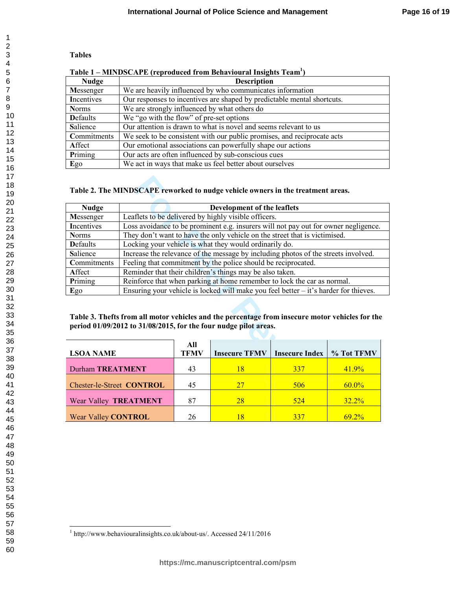# **Tables**

| Table 1 – MINDSCAPE (reproduced from Behavioural Insights Team') |                                                                         |  |  |
|------------------------------------------------------------------|-------------------------------------------------------------------------|--|--|
| <b>Nudge</b>                                                     | <b>Description</b>                                                      |  |  |
| Messenger                                                        | We are heavily influenced by who communicates information               |  |  |
| Incentives                                                       | Our responses to incentives are shaped by predictable mental shortcuts. |  |  |
| <b>Norms</b>                                                     | We are strongly influenced by what others do                            |  |  |
| <b>D</b> efaults                                                 | We "go with the flow" of pre-set options                                |  |  |
| Salience                                                         | Our attention is drawn to what is novel and seems relevant to us        |  |  |
| Commitments                                                      | We seek to be consistent with our public promises, and reciprocate acts |  |  |
| Affect                                                           | Our emotional associations can powerfully shape our actions             |  |  |
| Priming                                                          | Our acts are often influenced by sub-conscious cues                     |  |  |
| Ego                                                              | We act in ways that make us feel better about ourselves                 |  |  |

#### **Table 1 – MINDSCAPE (reproduced from Behavioural Insights Team 1 )**

# **Table 2. The MINDSCAPE reworked to nudge vehicle owners in the treatment areas.**

| Table 2. The MINDSCAPE reworked to nudge vehicle owners in the treatment areas.                                                                                     |                                                                                        |    |                                                                            |       |          |  |  |
|---------------------------------------------------------------------------------------------------------------------------------------------------------------------|----------------------------------------------------------------------------------------|----|----------------------------------------------------------------------------|-------|----------|--|--|
| <b>Nudge</b>                                                                                                                                                        |                                                                                        |    | Development of the leaflets                                                |       |          |  |  |
| Messenger                                                                                                                                                           | Leaflets to be delivered by highly visible officers.                                   |    |                                                                            |       |          |  |  |
| Incentives                                                                                                                                                          | Loss avoidance to be prominent e.g. insurers will not pay out for owner negligence.    |    |                                                                            |       |          |  |  |
| <b>Norms</b>                                                                                                                                                        |                                                                                        |    | They don't want to have the only vehicle on the street that is victimised. |       |          |  |  |
| <b>D</b> efaults                                                                                                                                                    | Locking your vehicle is what they would ordinarily do.                                 |    |                                                                            |       |          |  |  |
| Salience                                                                                                                                                            | Increase the relevance of the message by including photos of the streets involved.     |    |                                                                            |       |          |  |  |
| Commitments                                                                                                                                                         | Feeling that commitment by the police should be reciprocated.                          |    |                                                                            |       |          |  |  |
| Affect                                                                                                                                                              | Reminder that their children's things may be also taken.                               |    |                                                                            |       |          |  |  |
| Priming                                                                                                                                                             | Reinforce that when parking at home remember to lock the car as normal.                |    |                                                                            |       |          |  |  |
| Ego                                                                                                                                                                 | Ensuring your vehicle is locked will make you feel better $-$ it's harder for thieves. |    |                                                                            |       |          |  |  |
| Table 3. Thefts from all motor vehicles and the percentage from insecure motor vehicles for the<br>period 01/09/2012 to 31/08/2015, for the four nudge pilot areas. |                                                                                        |    |                                                                            |       |          |  |  |
| All<br><b>TFMV</b><br><b>Insecure TFMV</b><br><b>Insecure Index</b><br><b>LSOA NAME</b>                                                                             |                                                                                        |    | % Tot TFMV                                                                 |       |          |  |  |
| <b>Durham TREATMENT</b><br>43<br>18<br><b>337</b>                                                                                                                   |                                                                                        |    |                                                                            | 41.9% |          |  |  |
| Chester-le-Street CONTROL                                                                                                                                           |                                                                                        | 45 | 27                                                                         | 506   | $60.0\%$ |  |  |
| 87<br>28<br>524<br>Wear Valley TREATMENT<br>$32.2\%$                                                                                                                |                                                                                        |    |                                                                            |       |          |  |  |

# **Table 3. Thefts from all motor vehicles and the percentage from insecure motor vehicles for the period 01/09/2012 to 31/08/2015, for the four nudge pilot areas.**

| <b>LSOA NAME</b>                 | All<br><b>TFMV</b> | <b>Insecure TFMV</b> | <b>Insecure Index   % Tot TFMV</b> |          |
|----------------------------------|--------------------|----------------------|------------------------------------|----------|
| <b>Durham TREATMENT</b>          | 43                 |                      | 337                                | 41.9%    |
| <b>Chester-le-Street CONTROL</b> | 45                 | 27                   | 506                                | $60.0\%$ |
| Wear Valley TREATMENT            | 87                 | 28                   | 524                                | $32.2\%$ |
| <b>Wear Valley CONTROL</b>       | 26                 |                      | 337                                | 692%     |

 $\overline{a}$ 

<sup>1</sup> http://www.behaviouralinsights.co.uk/about-us/. Accessed 24/11/2016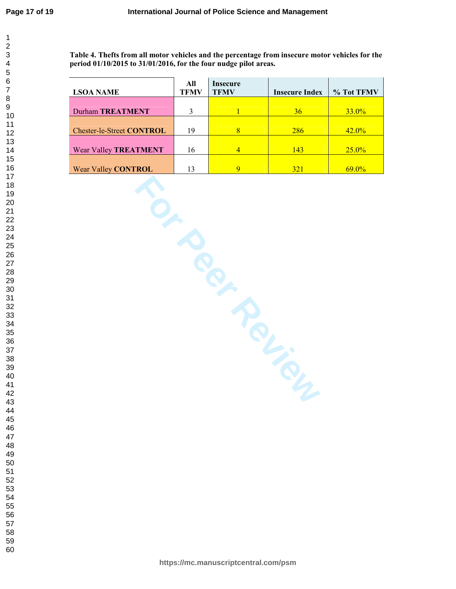**Table 4. Thefts from all motor vehicles and the percentage from insecure motor vehicles for the period 01/10/2015 to 31/01/2016, for the four nudge pilot areas.**

|                                  | All  | Insecure     |                       |            |
|----------------------------------|------|--------------|-----------------------|------------|
| <b>LSOA NAME</b>                 | TFMV | <b>TFMV</b>  | <b>Insecure Index</b> | % Tot TFMV |
|                                  |      |              |                       |            |
| Durham TREATMENT                 |      |              | 36                    | $33.0\%$   |
|                                  |      |              |                       |            |
| <b>Chester-le-Street CONTROL</b> | 19   | $\mathbf{8}$ | 286                   | $42.0\%$   |
|                                  |      |              |                       |            |
| <b>Wear Valley TREATMENT</b>     | 16   | 4            | 143                   | $25.0\%$   |
|                                  |      |              |                       |            |
| <b>Wear Valley CONTROL</b>       |      | $\mathbf Q$  | 321                   | $69.0\%$   |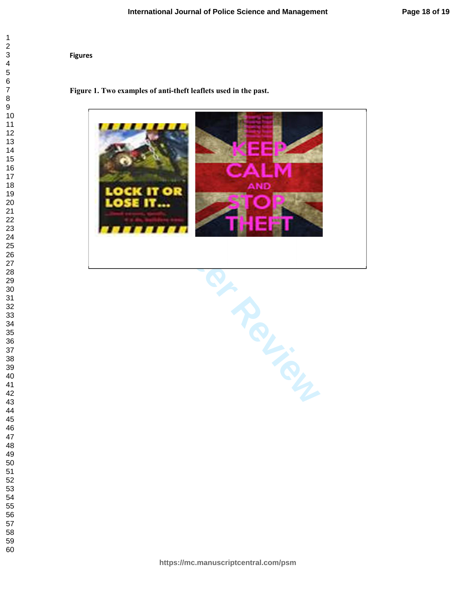### **Figures**

### **Figure 1. Two examples of anti-theft leaflets used in the past.**